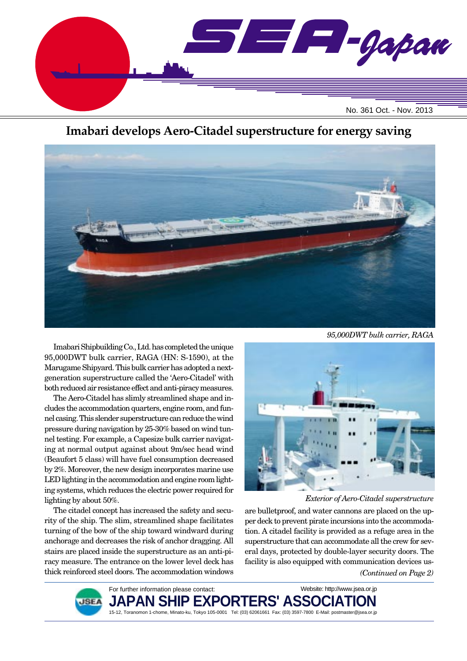

# **Imabari develops Aero-Citadel superstructure for energy saving**



*95,000DWT bulk carrier, RAGA*

Imabari Shipbuilding Co., Ltd. has completed the unique 95,000DWT bulk carrier, RAGA (HN: S-1590), at the Marugame Shipyard. This bulk carrier has adopted a nextgeneration superstructure called the 'Aero-Citadel' with both reduced air resistance effect and anti-piracy measures.

The Aero-Citadel has slimly streamlined shape and includes the accommodation quarters, engine room, and funnel casing. This slender superstructure can reduce the wind pressure during navigation by 25-30% based on wind tunnel testing. For example, a Capesize bulk carrier navigating at normal output against about 9m/sec head wind (Beaufort 5 class) will have fuel consumption decreased by 2%. Moreover, the new design incorporates marine use LED lighting in the accommodation and engine room lighting systems, which reduces the electric power required for lighting by about 50%.

The citadel concept has increased the safety and security of the ship. The slim, streamlined shape facilitates turning of the bow of the ship toward windward during anchorage and decreases the risk of anchor dragging. All stairs are placed inside the superstructure as an anti-piracy measure. The entrance on the lower level deck has thick reinforced steel doors. The accommodation windows



*Exterior of Aero-Citadel superstructure*

*(Continued on Page 2)* are bulletproof, and water cannons are placed on the upper deck to prevent pirate incursions into the accommodation. A citadel facility is provided as a refuge area in the superstructure that can accommodate all the crew for several days, protected by double-layer security doors. The facility is also equipped with communication devices us-



For further information please contact: PAN SHIP EXPORTERS' ASSO 15-12, Toranomon 1-chome, Minato-ku, Tokyo 105-0001 Tel: (03) 62061661 Fax: (03) 3597-7800 E-Mail: postmaster@jsea.or.jp Website: http://www.jsea.or.jp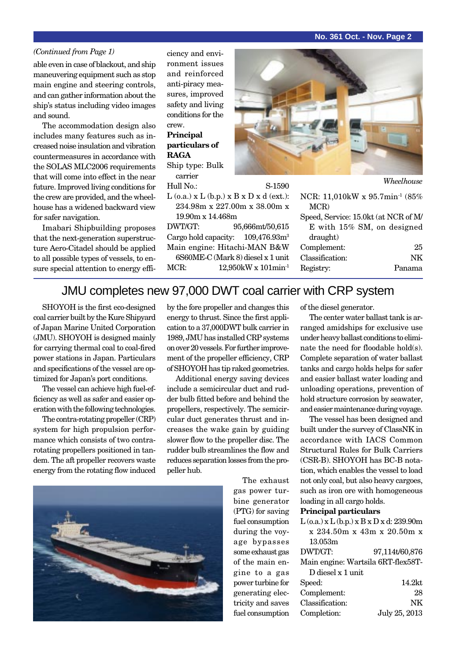#### **No. 361 Oct. - Nov. Page 2**

#### *(Continued from Page 1)*

able even in case of blackout, and ship maneuvering equipment such as stop main engine and steering controls, and can gather information about the ship's status including video images and sound.

The accommodation design also includes many features such as increased noise insulation and vibration countermeasures in accordance with the SOLAS MLC2006 requirements that will come into effect in the near future. Improved living conditions for the crew are provided, and the wheelhouse has a widened backward view for safer navigation.

Imabari Shipbuilding proposes that the next-generation superstructure Aero-Citadel should be applied to all possible types of vessels, to ensure special attention to energy efficiency and environment issues and reinforced anti-piracy measures, improved safety and living conditions for the crew.

### **Principal particulars of RAGA**

Ship type: Bulk carrier

Hull No.: S-1590  $L$  (o.a.)  $x L$  (b.p.)  $x B x D x d$  (ext.):

234.98m x 227.00m x 38.00m x 19.90m x 14.468m DWT/GT: 95,666mt/50,615 Cargo hold capacity:  $109.476.93m<sup>3</sup>$ Main engine: Hitachi-MAN B&W 6S60ME-C (Mark 8) diesel x 1 unit MCR: 12.950kW x 101min<sup>-1</sup>



| Wheelhouse |
|------------|
|            |

| NCR: 11,010kW x 95.7min <sup>-1</sup> (85%) |    |
|---------------------------------------------|----|
| MCR)                                        |    |
| Speed, Service: 15.0kt (at NCR of M/        |    |
| E with 15% SM, on designed                  |    |
| draught)                                    |    |
| Complement:                                 | 25 |
| Classification:                             | NK |
| Registry:                                   |    |
|                                             |    |

## JMU completes new 97,000 DWT coal carrier with CRP system

SHOYOH is the first eco-designed coal carrier built by the Kure Shipyard of Japan Marine United Corporation (JMU). SHOYOH is designed mainly for carrying thermal coal to coal-fired power stations in Japan. Particulars and specifications of the vessel are optimized for Japan's port conditions.

The vessel can achieve high fuel-efficiency as well as safer and easier operation with the following technologies.

The contra-rotating propeller (CRP) system for high propulsion performance which consists of two contrarotating propellers positioned in tandem. The aft propeller recovers waste energy from the rotating flow induced by the fore propeller and changes this energy to thrust. Since the first application to a 37,000DWT bulk carrier in 1989, JMU has installed CRP systems on over 20 vessels. For further improvement of the propeller efficiency, CRP of SHOYOH has tip raked geometries.

Additional energy saving devices include a semicircular duct and rudder bulb fitted before and behind the propellers, respectively. The semicircular duct generates thrust and increases the wake gain by guiding slower flow to the propeller disc. The rudder bulb streamlines the flow and reduces separation losses from the propeller hub.



of the diesel generator.

The center water ballast tank is arranged amidships for exclusive use under heavy ballast conditions to eliminate the need for floodable hold(s). Complete separation of water ballast tanks and cargo holds helps for safer and easier ballast water loading and unloading operations, prevention of hold structure corrosion by seawater, and easier maintenance during voyage.

The vessel has been designed and built under the survey of ClassNK in accordance with IACS Common Structural Rules for Bulk Carriers (CSR-B). SHOYOH has BC-B notation, which enables the vessel to load not only coal, but also heavy cargoes, such as iron ore with homogeneous loading in all cargo holds.

#### **Principal particulars**

| $L$ (o.a.) x $L$ (b.p.) x $B$ x $D$ x d: 239.90m |                                    |
|--------------------------------------------------|------------------------------------|
|                                                  | x 234.50m x 43m x 20.50m x         |
| 13.053m                                          |                                    |
| DWT/GT:                                          | 97,114t/60,876                     |
|                                                  | Main engine: Wartsila 6RT-flex58T- |
| D diesel x 1 unit                                |                                    |
| Speed:                                           | 14.2kt                             |
| Complement:                                      | 28                                 |
| Classification:                                  | NK                                 |
| Completion:                                      | July 25, 2013                      |

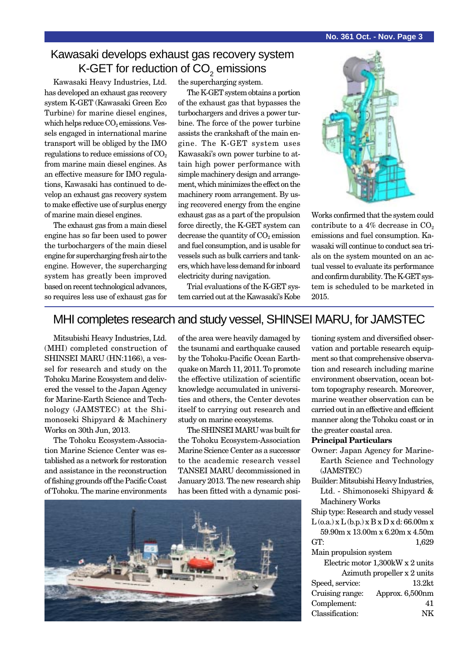# Kawasaki develops exhaust gas recovery system K-GET for reduction of CO $_2^{}$  emissions

Kawasaki Heavy Industries, Ltd. has developed an exhaust gas recovery system K-GET (Kawasaki Green Eco Turbine) for marine diesel engines, which helps reduce  $CO<sub>2</sub>$  emissions. Vessels engaged in international marine transport will be obliged by the IMO regulations to reduce emissions of  $CO<sub>2</sub>$ from marine main diesel engines. As an effective measure for IMO regulations, Kawasaki has continued to develop an exhaust gas recovery system to make effective use of surplus energy of marine main diesel engines.

The exhaust gas from a main diesel engine has so far been used to power the turbochargers of the main diesel engine for supercharging fresh air to the engine. However, the supercharging system has greatly been improved based on recent technological advances, so requires less use of exhaust gas for the supercharging system.

The K-GET system obtains a portion of the exhaust gas that bypasses the turbochargers and drives a power turbine. The force of the power turbine assists the crankshaft of the main engine. The K-GET system uses Kawasaki's own power turbine to attain high power performance with simple machinery design and arrangement, which minimizes the effect on the machinery room arrangement. By using recovered energy from the engine exhaust gas as a part of the propulsion force directly, the K-GET system can decrease the quantity of  $CO<sub>2</sub>$  emission and fuel consumption, and is usable for vessels such as bulk carriers and tankers, which have less demand for inboard electricity during navigation.

Trial evaluations of the K-GET system carried out at the Kawasaki's Kobe



Works confirmed that the system could contribute to a 4% decrease in  $CO<sub>2</sub>$ emissions and fuel consumption. Kawasaki will continue to conduct sea trials on the system mounted on an actual vessel to evaluate its performance and confirm durability. The K-GET system is scheduled to be marketed in 2015.

# MHI completes research and study vessel, SHINSEI MARU, for JAMSTEC

Mitsubishi Heavy Industries, Ltd. (MHI) completed construction of SHINSEI MARU (HN:1166), a vessel for research and study on the Tohoku Marine Ecosystem and delivered the vessel to the Japan Agency for Marine-Earth Science and Technology (JAMSTEC) at the Shimonoseki Shipyard & Machinery Works on 30th Jun, 2013.

The Tohoku Ecosystem-Association Marine Science Center was established as a network for restoration and assistance in the reconstruction of fishing grounds off the Pacific Coast of Tohoku. The marine environments

of the area were heavily damaged by the tsunami and earthquake caused by the Tohoku-Pacific Ocean Earthquake on March 11, 2011. To promote the effective utilization of scientific knowledge accumulated in universities and others, the Center devotes itself to carrying out research and study on marine ecosystems.

The SHINSEI MARU was built for the Tohoku Ecosystem-Association Marine Science Center as a successor to the academic research vessel TANSEI MARU decommissioned in January 2013. The new research ship has been fitted with a dynamic posi-



tioning system and diversified observation and portable research equipment so that comprehensive observation and research including marine environment observation, ocean bottom topography research. Moreover, marine weather observation can be carried out in an effective and efficient manner along the Tohoku coast or in the greater coastal area.

#### **Principal Particulars**

- Owner: Japan Agency for Marine-Earth Science and Technology (JAMSTEC)
- Builder: Mitsubishi Heavy Industries, Ltd. - Shimonoseki Shipyard & Machinery Works

Ship type: Research and study vessel  $L$  (o.a.)  $x L$  (b.p.)  $x B x D x d$ : 66.00m  $x$ 

59.90m x 13.00m x 6.20m x 4.50m GT: 1,629

Main propulsion system

|                 | Electric motor 1,300kW x 2 units |
|-----------------|----------------------------------|
|                 | Azimuth propeller x 2 units      |
| Speed, service: | 13.2 <sub>kt</sub>               |
| Cruising range: | Approx. 6,500nm                  |
| Complement:     | 41                               |
| Classification: | NK                               |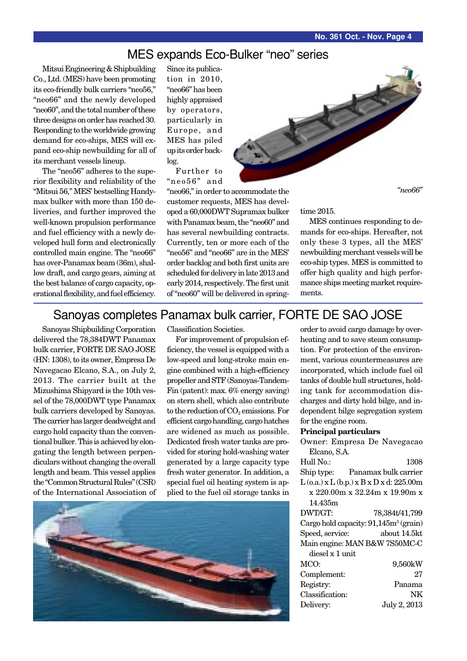## MES expands Eco-Bulker "neo" series

Mitsui Engineering & Shipbuilding Co., Ltd. (MES) have been promoting its eco-friendly bulk carriers "neo56," "neo66" and the newly developed "neo60", and the total number of these three designs on order has reached 30. Responding to the worldwide growing demand for eco-ships, MES will expand eco-ship newbuilding for all of its merchant vessels lineup.

The "neo56" adheres to the superior flexibility and reliability of the "Mitsui 56," MES' bestselling Handymax bulker with more than 150 deliveries, and further improved the well-known propulsion performance and fuel efficiency with a newly developed hull form and electronically controlled main engine. The "neo66" has over-Panamax beam (36m), shallow draft, and cargo gears, aiming at the best balance of cargo capacity, operational flexibility, and fuel efficiency. Since its publication in 2010, "neo66" has been highly appraised by operators, particularly in Europe, and MES has piled up its order backlog.

Further to "neo56" and

"neo66," in order to accommodate the customer requests, MES has developed a 60,000DWT Supramax bulker with Panamax beam, the "neo60" and has several newbuilding contracts. Currently, ten or more each of the "neo56" and "neo66" are in the MES' order backlog and both first units are scheduled for delivery in late 2013 and early 2014, respectively. The first unit of "neo60" will be delivered in spring-

*"neo66"*

MES continues responding to demands for eco-ships. Hereafter, not only these 3 types, all the MES' newbuilding merchant vessels will be eco-ship types. MES is committed to offer high quality and high performance ships meeting market requirements.

## Sanoyas completes Panamax bulk carrier, FORTE DE SAO JOSE

Sanoyas Shipbuilding Corporation delivered the 78,384DWT Panamax bulk carrier, FORTE DE SAO JOSE (HN: 1308), to its owner, Empresa De Navegacao Elcano, S.A., on July 2, 2013. The carrier built at the Mizushima Shipyard is the 10th vessel of the 78,000DWT type Panamax bulk carriers developed by Sanoyas. The carrier has larger deadweight and cargo hold capacity than the conventional bulker. This is achieved by elongating the length between perpendiculars without changing the overall length and beam. This vessel applies the "Common Structural Rules" (CSR) of the International Association of



For improvement of propulsion efficiency, the vessel is equipped with a low-speed and long-stroke main engine combined with a high-efficiency propeller and STF (Sanoyas-Tandem-Fin (patent): max. 6% energy saving) on stern shell, which also contribute to the reduction of  $CO<sub>2</sub>$  emissions. For efficient cargo handling, cargo hatches are widened as much as possible. Dedicated fresh water tanks are provided for storing hold-washing water generated by a large capacity type fresh water generator. In addition, a special fuel oil heating system is applied to the fuel oil storage tanks in



order to avoid cargo damage by overheating and to save steam consumption. For protection of the environment, various countermeasures are incorporated, which include fuel oil tanks of double hull structures, holding tank for accommodation discharges and dirty hold bilge, and independent bilge segregation system for the engine room.

#### **Principal particulars**

|                 | Owner: Empresa De Navegacao                       |
|-----------------|---------------------------------------------------|
| Elcano, S.A.    |                                                   |
| Hull No.:       | 1308                                              |
|                 | Ship type: Panamax bulk carrier                   |
|                 | $L$ (o.a.) x $L$ (b.p.) x $B$ x $D$ x d: 225.00m  |
|                 | x 220.00m x 32.24m x 19.90m x                     |
| 14.435m         |                                                   |
| DWT/GT:         | 78,384t/41,799                                    |
|                 | Cargo hold capacity: 91,145m <sup>3</sup> (grain) |
| Speed, service: | about 14.5kt                                      |
|                 | Main engine: MAN B&W 7S50MC-C                     |
| diesel x 1 unit |                                                   |
| MCO:            | 9,560kW                                           |
| Complement:     | 27                                                |
| Registry:       | Panama                                            |
| Classification: | NK                                                |
| Delivery:       | July 2, 2013                                      |
|                 |                                                   |



time 2015.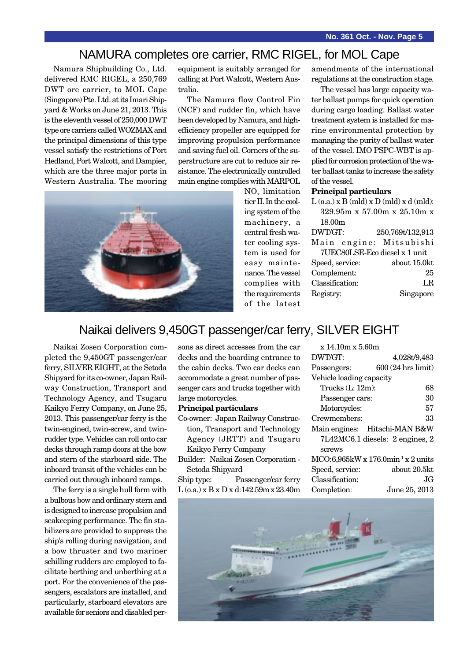## NAMURA completes ore carrier, RMC RIGEL, for MOL Cape

Namura Shipbuilding Co., Ltd. delivered RMC RIGEL, a 250,769 DWT ore carrier, to MOL Cape (Singapore) Pte. Ltd. at its Imari Shipyard & Works on June 21, 2013. This is the eleventh vessel of 250,000 DWT type ore carriers called WOZMAX and the principal dimensions of this type vessel satisfy the restrictions of Port Hedland, Port Walcott, and Dampier, which are the three major ports in Western Australia. The mooring equipment is suitably arranged for calling at Port Walcott, Western Australia.

The Namura flow Control Fin (NCF) and rudder fin, which have been developed by Namura, and highefficiency propeller are equipped for improving propulsion performance and saving fuel oil. Corners of the superstructure are cut to reduce air resistance. The electronically controlled main engine complies with MARPOL



NOx limitation tier II. In the cooling system of the machinery, a central fresh water cooling system is used for easy maintenance. The vessel complies with the requirements of the latest amendments of the international regulations at the construction stage.

The vessel has large capacity water ballast pumps for quick operation during cargo loading. Ballast water treatment system is installed for marine environmental protection by managing the purity of ballast water of the vessel. IMO PSPC-WBT is applied for corrosion protection of the water ballast tanks to increase the safety of the vessel.

#### **Principal particulars**

| $L$ (o.a.) x B (mld) x D (mld) x d (mld): |                             |
|-------------------------------------------|-----------------------------|
|                                           | 329.95m x 57.00m x 25.10m x |
| 18.00 <sub>m</sub>                        |                             |
| DWT/GT:                                   | 250,769t/132,913            |
| Main engine: Mitsubishi                   |                             |
| 7UEC80LSE-Eco diesel x 1 unit             |                             |
| Speed, service:                           | about 15.0kt                |
| Complement:                               | 25                          |
| Classification:                           | LR.                         |
| Registry:                                 | Singapore                   |
|                                           |                             |

## Naikai delivers 9,450GT passenger/car ferry, SILVER EIGHT

Naikai Zosen Corporation completed the 9,450GT passenger/car ferry, SILVER EIGHT, at the Setoda Shipyard for its co-owner, Japan Railway Construction, Transport and Technology Agency, and Tsugaru Kaikyo Ferry Company, on June 25, 2013. This passenger/car ferry is the twin-engined, twin-screw, and twinrudder type. Vehicles can roll onto car decks through ramp doors at the bow and stern of the starboard side. The inboard transit of the vehicles can be carried out through inboard ramps.

The ferry is a single hull form with a bulbous bow and ordinary stern and is designed to increase propulsion and seakeeping performance. The fin stabilizers are provided to suppress the ship's rolling during navigation, and a bow thruster and two mariner schilling rudders are employed to facilitate berthing and unberthing at a port. For the convenience of the passengers, escalators are installed, and particularly, starboard elevators are available for seniors and disabled persons as direct accesses from the car decks and the boarding entrance to the cabin decks. Two car decks can accommodate a great number of passenger cars and trucks together with large motorcycles.

#### **Principal particulars**

Co-owner: Japan Railway Construction, Transport and Technology Agency (JRTT) and Tsugaru Kaikyo Ferry Company

| Builder: Naikai Zosen Corporation - |
|-------------------------------------|
| Setoda Shipyard                     |

Ship type: Passenger/car ferry L (o.a.) x B x D x d:142.59m x 23.40m

| x 14.10m x 5.60m         |                                                        |
|--------------------------|--------------------------------------------------------|
| DWT/GT:                  | 4,028t/9,483                                           |
| Passengers:              | 600 (24 hrs limit)                                     |
| Vehicle loading capacity |                                                        |
| Trucks $(L: 12m)$ :      | 68                                                     |
| Passenger cars:          | 30                                                     |
| Motorcycles:             | 57                                                     |
| Crewmembers:             | 33                                                     |
|                          | Main engines: Hitachi-MAN B&W                          |
|                          | 7L42MC6.1 diesels: 2 engines, 2                        |
| screws                   |                                                        |
|                          | $MCO:6,965kW \times 176.0$ min <sup>-1</sup> x 2 units |
| Speed, service:          | about 20.5kt                                           |
| Classification:          | JG.                                                    |
| Completion:              | June 25, 2013                                          |